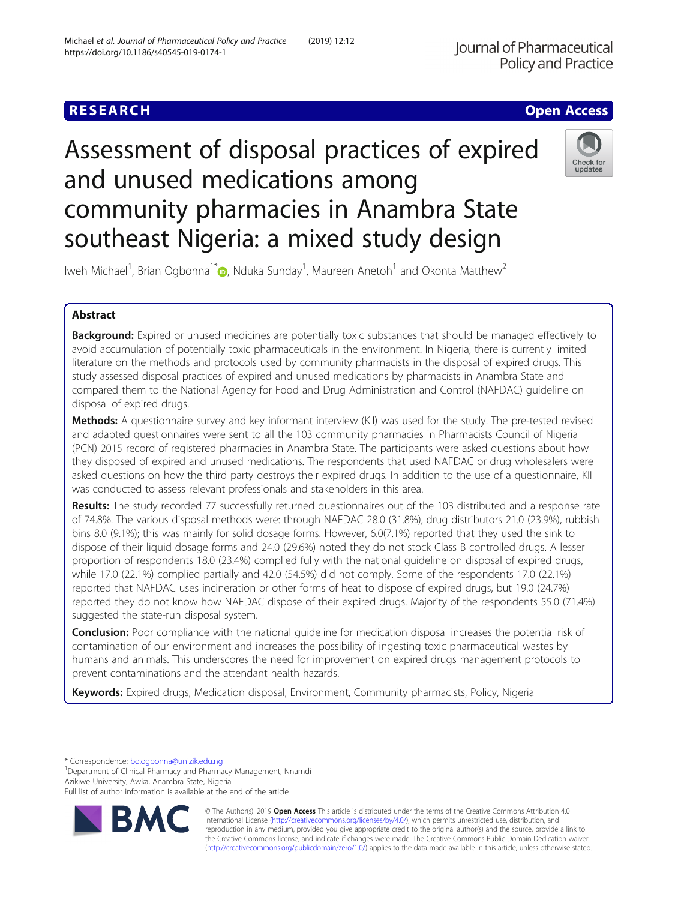# **RESEARCH CHE Open Access**

# Assessment of disposal practices of expired and unused medications among community pharmacies in Anambra State southeast Nigeria: a mixed study design



lweh Michael<sup>1</sup>, Brian Ogbonna<sup>1[\\*](http://orcid.org/0000-0002-7015-8263)</sup> $\bm{\circ}$ , Nduka Sunday<sup>1</sup>, Maureen Anetoh<sup>1</sup> and Okonta Matthew<sup>2</sup>

## Abstract

Background: Expired or unused medicines are potentially toxic substances that should be managed effectively to avoid accumulation of potentially toxic pharmaceuticals in the environment. In Nigeria, there is currently limited literature on the methods and protocols used by community pharmacists in the disposal of expired drugs. This study assessed disposal practices of expired and unused medications by pharmacists in Anambra State and compared them to the National Agency for Food and Drug Administration and Control (NAFDAC) guideline on disposal of expired drugs.

Methods: A questionnaire survey and key informant interview (KII) was used for the study. The pre-tested revised and adapted questionnaires were sent to all the 103 community pharmacies in Pharmacists Council of Nigeria (PCN) 2015 record of registered pharmacies in Anambra State. The participants were asked questions about how they disposed of expired and unused medications. The respondents that used NAFDAC or drug wholesalers were asked questions on how the third party destroys their expired drugs. In addition to the use of a questionnaire, KII was conducted to assess relevant professionals and stakeholders in this area.

Results: The study recorded 77 successfully returned questionnaires out of the 103 distributed and a response rate of 74.8%. The various disposal methods were: through NAFDAC 28.0 (31.8%), drug distributors 21.0 (23.9%), rubbish bins 8.0 (9.1%); this was mainly for solid dosage forms. However, 6.0(7.1%) reported that they used the sink to dispose of their liquid dosage forms and 24.0 (29.6%) noted they do not stock Class B controlled drugs. A lesser proportion of respondents 18.0 (23.4%) complied fully with the national guideline on disposal of expired drugs, while 17.0 (22.1%) complied partially and 42.0 (54.5%) did not comply. Some of the respondents 17.0 (22.1%) reported that NAFDAC uses incineration or other forms of heat to dispose of expired drugs, but 19.0 (24.7%) reported they do not know how NAFDAC dispose of their expired drugs. Majority of the respondents 55.0 (71.4%) suggested the state-run disposal system.

Conclusion: Poor compliance with the national guideline for medication disposal increases the potential risk of contamination of our environment and increases the possibility of ingesting toxic pharmaceutical wastes by humans and animals. This underscores the need for improvement on expired drugs management protocols to prevent contaminations and the attendant health hazards.

Keywords: Expired drugs, Medication disposal, Environment, Community pharmacists, Policy, Nigeria

\* Correspondence: [bo.ogbonna@unizik.edu.ng](mailto:bo.ogbonna@unizik.edu.ng) <sup>1</sup>

Department of Clinical Pharmacy and Pharmacy Management, Nnamdi Azikiwe University, Awka, Anambra State, Nigeria

Full list of author information is available at the end of the article



© The Author(s). 2019 **Open Access** This article is distributed under the terms of the Creative Commons Attribution 4.0 International License [\(http://creativecommons.org/licenses/by/4.0/](http://creativecommons.org/licenses/by/4.0/)), which permits unrestricted use, distribution, and reproduction in any medium, provided you give appropriate credit to the original author(s) and the source, provide a link to the Creative Commons license, and indicate if changes were made. The Creative Commons Public Domain Dedication waiver [\(http://creativecommons.org/publicdomain/zero/1.0/](http://creativecommons.org/publicdomain/zero/1.0/)) applies to the data made available in this article, unless otherwise stated.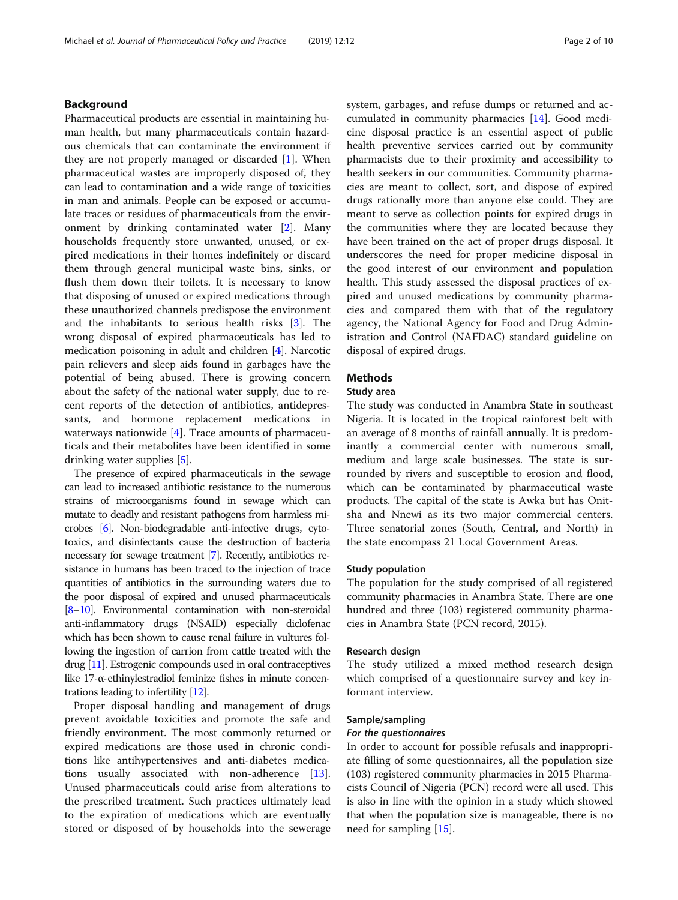#### Background

Pharmaceutical products are essential in maintaining human health, but many pharmaceuticals contain hazardous chemicals that can contaminate the environment if they are not properly managed or discarded [\[1](#page-7-0)]. When pharmaceutical wastes are improperly disposed of, they can lead to contamination and a wide range of toxicities in man and animals. People can be exposed or accumulate traces or residues of pharmaceuticals from the environment by drinking contaminated water [[2\]](#page-8-0). Many households frequently store unwanted, unused, or expired medications in their homes indefinitely or discard them through general municipal waste bins, sinks, or flush them down their toilets. It is necessary to know that disposing of unused or expired medications through these unauthorized channels predispose the environment and the inhabitants to serious health risks [[3\]](#page-8-0). The wrong disposal of expired pharmaceuticals has led to medication poisoning in adult and children [[4\]](#page-8-0). Narcotic pain relievers and sleep aids found in garbages have the potential of being abused. There is growing concern about the safety of the national water supply, due to recent reports of the detection of antibiotics, antidepressants, and hormone replacement medications in waterways nationwide [[4\]](#page-8-0). Trace amounts of pharmaceuticals and their metabolites have been identified in some drinking water supplies [\[5](#page-8-0)].

The presence of expired pharmaceuticals in the sewage can lead to increased antibiotic resistance to the numerous strains of microorganisms found in sewage which can mutate to deadly and resistant pathogens from harmless microbes [\[6](#page-8-0)]. Non-biodegradable anti-infective drugs, cytotoxics, and disinfectants cause the destruction of bacteria necessary for sewage treatment [\[7](#page-8-0)]. Recently, antibiotics resistance in humans has been traced to the injection of trace quantities of antibiotics in the surrounding waters due to the poor disposal of expired and unused pharmaceuticals [[8](#page-8-0)–[10](#page-8-0)]. Environmental contamination with non-steroidal anti-inflammatory drugs (NSAID) especially diclofenac which has been shown to cause renal failure in vultures following the ingestion of carrion from cattle treated with the drug [\[11](#page-8-0)]. Estrogenic compounds used in oral contraceptives like 17-α-ethinylestradiol feminize fishes in minute concentrations leading to infertility [\[12\]](#page-8-0).

Proper disposal handling and management of drugs prevent avoidable toxicities and promote the safe and friendly environment. The most commonly returned or expired medications are those used in chronic conditions like antihypertensives and anti-diabetes medications usually associated with non-adherence [\[13](#page-8-0)]. Unused pharmaceuticals could arise from alterations to the prescribed treatment. Such practices ultimately lead to the expiration of medications which are eventually stored or disposed of by households into the sewerage system, garbages, and refuse dumps or returned and accumulated in community pharmacies [[14](#page-8-0)]. Good medicine disposal practice is an essential aspect of public health preventive services carried out by community pharmacists due to their proximity and accessibility to health seekers in our communities. Community pharmacies are meant to collect, sort, and dispose of expired drugs rationally more than anyone else could. They are meant to serve as collection points for expired drugs in the communities where they are located because they have been trained on the act of proper drugs disposal. It underscores the need for proper medicine disposal in the good interest of our environment and population health. This study assessed the disposal practices of expired and unused medications by community pharmacies and compared them with that of the regulatory agency, the National Agency for Food and Drug Administration and Control (NAFDAC) standard guideline on disposal of expired drugs.

### Methods

### Study area

The study was conducted in Anambra State in southeast Nigeria. It is located in the tropical rainforest belt with an average of 8 months of rainfall annually. It is predominantly a commercial center with numerous small, medium and large scale businesses. The state is surrounded by rivers and susceptible to erosion and flood, which can be contaminated by pharmaceutical waste products. The capital of the state is Awka but has Onitsha and Nnewi as its two major commercial centers. Three senatorial zones (South, Central, and North) in the state encompass 21 Local Government Areas.

#### Study population

The population for the study comprised of all registered community pharmacies in Anambra State. There are one hundred and three (103) registered community pharmacies in Anambra State (PCN record, 2015).

#### Research design

The study utilized a mixed method research design which comprised of a questionnaire survey and key informant interview.

#### Sample/sampling

#### For the questionnaires

In order to account for possible refusals and inappropriate filling of some questionnaires, all the population size (103) registered community pharmacies in 2015 Pharmacists Council of Nigeria (PCN) record were all used. This is also in line with the opinion in a study which showed that when the population size is manageable, there is no need for sampling [[15](#page-8-0)].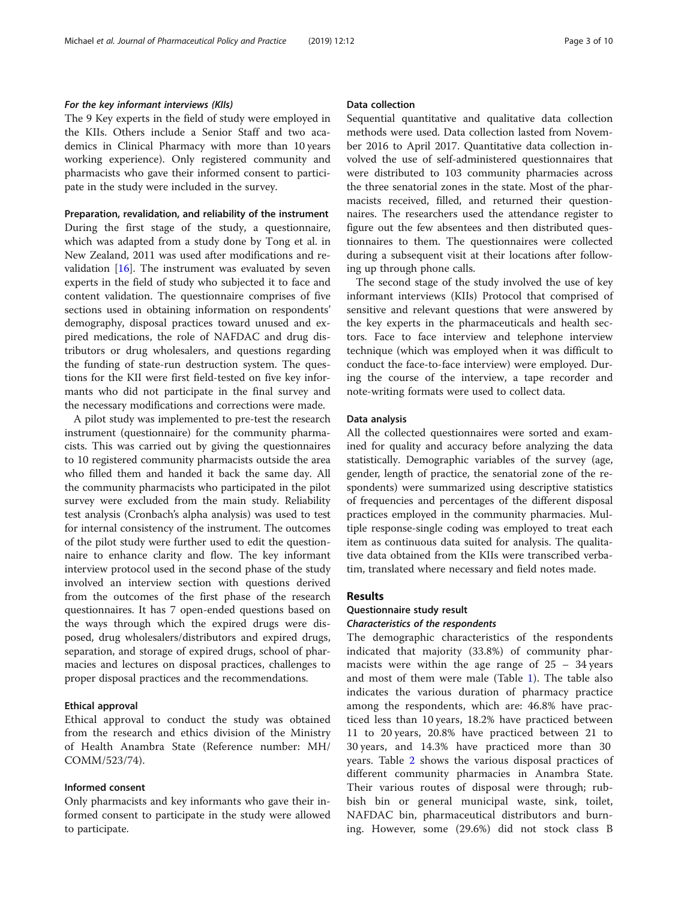#### For the key informant interviews (KIIs)

The 9 Key experts in the field of study were employed in the KIIs. Others include a Senior Staff and two academics in Clinical Pharmacy with more than 10 years working experience). Only registered community and pharmacists who gave their informed consent to participate in the study were included in the survey.

Preparation, revalidation, and reliability of the instrument

During the first stage of the study, a questionnaire, which was adapted from a study done by Tong et al. in New Zealand, 2011 was used after modifications and revalidation  $[16]$  $[16]$ . The instrument was evaluated by seven experts in the field of study who subjected it to face and content validation. The questionnaire comprises of five sections used in obtaining information on respondents' demography, disposal practices toward unused and expired medications, the role of NAFDAC and drug distributors or drug wholesalers, and questions regarding the funding of state-run destruction system. The questions for the KII were first field-tested on five key informants who did not participate in the final survey and the necessary modifications and corrections were made.

A pilot study was implemented to pre-test the research instrument (questionnaire) for the community pharmacists. This was carried out by giving the questionnaires to 10 registered community pharmacists outside the area who filled them and handed it back the same day. All the community pharmacists who participated in the pilot survey were excluded from the main study. Reliability test analysis (Cronbach's alpha analysis) was used to test for internal consistency of the instrument. The outcomes of the pilot study were further used to edit the questionnaire to enhance clarity and flow. The key informant interview protocol used in the second phase of the study involved an interview section with questions derived from the outcomes of the first phase of the research questionnaires. It has 7 open-ended questions based on the ways through which the expired drugs were disposed, drug wholesalers/distributors and expired drugs, separation, and storage of expired drugs, school of pharmacies and lectures on disposal practices, challenges to proper disposal practices and the recommendations.

#### Ethical approval

Ethical approval to conduct the study was obtained from the research and ethics division of the Ministry of Health Anambra State (Reference number: MH/ COMM/523/74).

#### Informed consent

Only pharmacists and key informants who gave their informed consent to participate in the study were allowed to participate.

#### Data collection

Sequential quantitative and qualitative data collection methods were used. Data collection lasted from November 2016 to April 2017. Quantitative data collection involved the use of self-administered questionnaires that were distributed to 103 community pharmacies across the three senatorial zones in the state. Most of the pharmacists received, filled, and returned their questionnaires. The researchers used the attendance register to figure out the few absentees and then distributed questionnaires to them. The questionnaires were collected during a subsequent visit at their locations after following up through phone calls.

The second stage of the study involved the use of key informant interviews (KIIs) Protocol that comprised of sensitive and relevant questions that were answered by the key experts in the pharmaceuticals and health sectors. Face to face interview and telephone interview technique (which was employed when it was difficult to conduct the face-to-face interview) were employed. During the course of the interview, a tape recorder and note-writing formats were used to collect data.

#### Data analysis

All the collected questionnaires were sorted and examined for quality and accuracy before analyzing the data statistically. Demographic variables of the survey (age, gender, length of practice, the senatorial zone of the respondents) were summarized using descriptive statistics of frequencies and percentages of the different disposal practices employed in the community pharmacies. Multiple response-single coding was employed to treat each item as continuous data suited for analysis. The qualitative data obtained from the KIIs were transcribed verbatim, translated where necessary and field notes made.

#### Results

#### Questionnaire study result Characteristics of the respondents

The demographic characteristics of the respondents indicated that majority (33.8%) of community pharmacists were within the age range of  $25 - 34$  years and most of them were male (Table [1\)](#page-3-0). The table also indicates the various duration of pharmacy practice among the respondents, which are: 46.8% have practiced less than 10 years, 18.2% have practiced between 11 to 20 years, 20.8% have practiced between 21 to 30 years, and 14.3% have practiced more than 30 years. Table [2](#page-3-0) shows the various disposal practices of different community pharmacies in Anambra State. Their various routes of disposal were through; rubbish bin or general municipal waste, sink, toilet, NAFDAC bin, pharmaceutical distributors and burning. However, some (29.6%) did not stock class B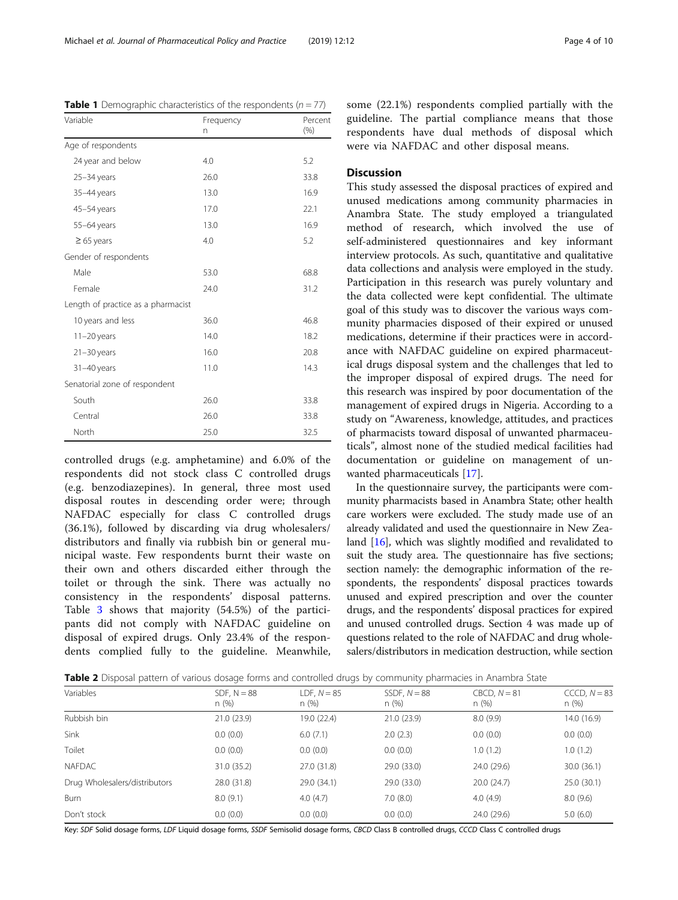controlled drugs (e.g. amphetamine) and 6.0% of the respondents did not stock class C controlled drugs (e.g. benzodiazepines). In general, three most used disposal routes in descending order were; through NAFDAC especially for class C controlled drugs (36.1%), followed by discarding via drug wholesalers/ distributors and finally via rubbish bin or general municipal waste. Few respondents burnt their waste on their own and others discarded either through the toilet or through the sink. There was actually no consistency in the respondents' disposal patterns. Table [3](#page-4-0) shows that majority (54.5%) of the participants did not comply with NAFDAC guideline on disposal of expired drugs. Only 23.4% of the respondents complied fully to the guideline. Meanwhile,

wanted pharmaceuticals [\[17](#page-8-0)]. In the questionnaire survey, the participants were community pharmacists based in Anambra State; other health care workers were excluded. The study made use of an already validated and used the questionnaire in New Zealand [[16](#page-8-0)], which was slightly modified and revalidated to suit the study area. The questionnaire has five sections; section namely: the demographic information of the respondents, the respondents' disposal practices towards unused and expired prescription and over the counter drugs, and the respondents' disposal practices for expired and unused controlled drugs. Section 4 was made up of questions related to the role of NAFDAC and drug whole-

salers/distributors in medication destruction, while section

Table 2 Disposal pattern of various dosage forms and controlled drugs by community pharmacies in Anambra State

| Variables                     | SDF, $N = 88$<br>n(%) | LDF, $N = 85$<br>n (%) | SSDF, $N = 88$<br>n (%) | $CBCD, N = 81$<br>n (%) | $CCCD, N = 83$<br>n(%) |
|-------------------------------|-----------------------|------------------------|-------------------------|-------------------------|------------------------|
| Rubbish bin                   | 21.0 (23.9)           | 19.0 (22.4)            | 21.0(23.9)              | 8.0(9.9)                | 14.0 (16.9)            |
| <b>Sink</b>                   | 0.0(0.0)              | 6.0(7.1)               | 2.0(2.3)                | 0.0(0.0)                | 0.0(0.0)               |
| Toilet                        | 0.0(0.0)              | 0.0(0.0)               | 0.0(0.0)                | 1.0(1.2)                | 1.0(1.2)               |
| <b>NAFDAC</b>                 | 31.0 (35.2)           | 27.0 (31.8)            | 29.0 (33.0)             | 24.0 (29.6)             | 30.0 (36.1)            |
| Drug Wholesalers/distributors | 28.0 (31.8)           | 29.0 (34.1)            | 29.0 (33.0)             | 20.0 (24.7)             | 25.0 (30.1)            |
| <b>Burn</b>                   | 8.0(9.1)              | 4.0(4.7)               | 7.0(8.0)                | 4.0(4.9)                | 8.0(9.6)               |
| Don't stock                   | 0.0(0.0)              | 0.0(0.0)               | 0.0(0.0)                | 24.0 (29.6)             | 5.0(6.0)               |

Key: SDF Solid dosage forms, LDF Liquid dosage forms, SSDF Semisolid dosage forms, CBCD Class B controlled drugs, CCCD Class C controlled drugs

<span id="page-3-0"></span>

**Table 1** Demographic characteristics of the respondents ( $n = 77$ )

| Variable                           | Frequency<br>n | Percent<br>$(\% )$ |  |
|------------------------------------|----------------|--------------------|--|
| Age of respondents                 |                |                    |  |
| 24 year and below                  | 4.0            | 5.2                |  |
| 25-34 years                        | 26.0           | 33.8               |  |
| 35-44 years                        | 13.0           | 16.9               |  |
| 45-54 years                        | 17.0           | 22.1               |  |
| 55-64 years                        | 13.0           | 16.9               |  |
| $\geq 65$ years                    | 4.0            | 5.2                |  |
| Gender of respondents              |                |                    |  |
| Male                               | 53.0           | 68.8               |  |
| Female                             | 24.0           | 31.2               |  |
| Length of practice as a pharmacist |                |                    |  |
| 10 years and less                  | 36.0           | 46.8               |  |
| $11-20$ years                      | 14.0           | 18.2               |  |
| $21 - 30$ years                    | 16.0           | 20.8               |  |
| 31-40 years                        | 11.0           | 14.3               |  |
| Senatorial zone of respondent      |                |                    |  |
| South                              | 26.0           | 33.8               |  |
| Central                            | 26.0           | 33.8               |  |
| North                              | 25.0           | 32.5               |  |

some (22.1%) respondents complied partially with the guideline. The partial compliance means that those respondents have dual methods of disposal which were via NAFDAC and other disposal means.

#### **Discussion**

This study assessed the disposal practices of expired and unused medications among community pharmacies in Anambra State. The study employed a triangulated method of research, which involved the use of self-administered questionnaires and key informant interview protocols. As such, quantitative and qualitative data collections and analysis were employed in the study. Participation in this research was purely voluntary and the data collected were kept confidential. The ultimate goal of this study was to discover the various ways community pharmacies disposed of their expired or unused medications, determine if their practices were in accordance with NAFDAC guideline on expired pharmaceutical drugs disposal system and the challenges that led to the improper disposal of expired drugs. The need for this research was inspired by poor documentation of the management of expired drugs in Nigeria. According to a study on "Awareness, knowledge, attitudes, and practices of pharmacists toward disposal of unwanted pharmaceuticals", almost none of the studied medical facilities had documentation or guideline on management of un-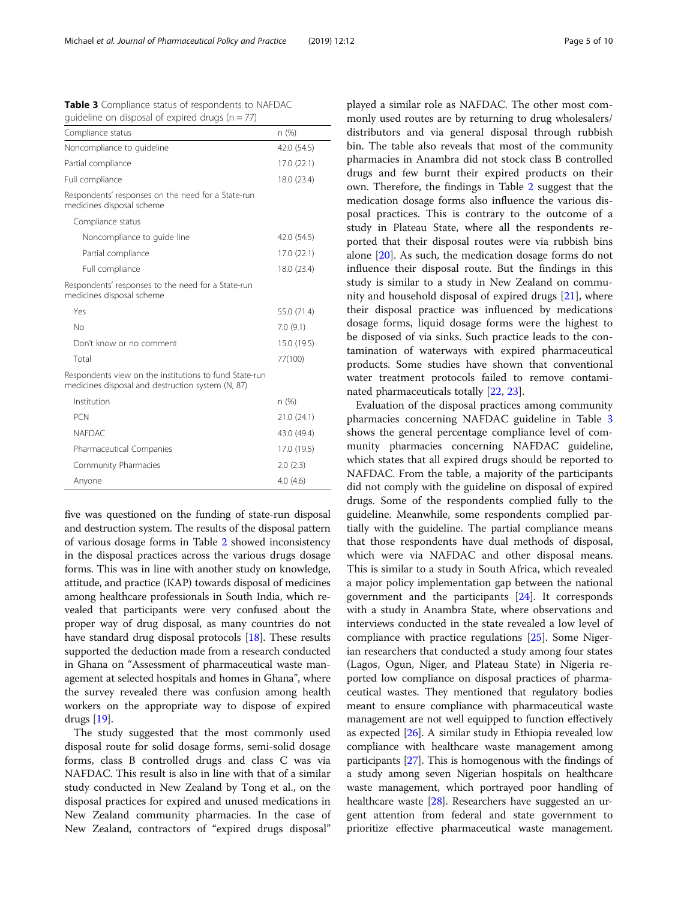| Institution              | n (%)       |
|--------------------------|-------------|
| <b>PCN</b>               | 21.0(24.1)  |
| NAFDAC.                  | 43.0 (49.4) |
| Pharmaceutical Companies | 17.0 (19.5) |
| Community Pharmacies     | 2.0(2.3)    |
| Anyone                   | 4.0(4.6)    |
|                          |             |

five was questioned on the funding of state-run disposal and destruction system. The results of the disposal pattern of various dosage forms in Table [2](#page-3-0) showed inconsistency in the disposal practices across the various drugs dosage forms. This was in line with another study on knowledge, attitude, and practice (KAP) towards disposal of medicines among healthcare professionals in South India, which revealed that participants were very confused about the proper way of drug disposal, as many countries do not have standard drug disposal protocols [\[18](#page-8-0)]. These results supported the deduction made from a research conducted in Ghana on "Assessment of pharmaceutical waste management at selected hospitals and homes in Ghana", where the survey revealed there was confusion among health workers on the appropriate way to dispose of expired drugs [[19](#page-8-0)].

The study suggested that the most commonly used disposal route for solid dosage forms, semi-solid dosage forms, class B controlled drugs and class C was via NAFDAC. This result is also in line with that of a similar study conducted in New Zealand by Tong et al., on the disposal practices for expired and unused medications in New Zealand community pharmacies. In the case of New Zealand, contractors of "expired drugs disposal"

played a similar role as NAFDAC. The other most commonly used routes are by returning to drug wholesalers/ distributors and via general disposal through rubbish bin. The table also reveals that most of the community pharmacies in Anambra did not stock class B controlled drugs and few burnt their expired products on their own. Therefore, the findings in Table [2](#page-3-0) suggest that the medication dosage forms also influence the various disposal practices. This is contrary to the outcome of a study in Plateau State, where all the respondents reported that their disposal routes were via rubbish bins alone [[20\]](#page-8-0). As such, the medication dosage forms do not influence their disposal route. But the findings in this study is similar to a study in New Zealand on community and household disposal of expired drugs [[21\]](#page-8-0), where their disposal practice was influenced by medications dosage forms, liquid dosage forms were the highest to be disposed of via sinks. Such practice leads to the contamination of waterways with expired pharmaceutical products. Some studies have shown that conventional water treatment protocols failed to remove contaminated pharmaceuticals totally [[22,](#page-8-0) [23\]](#page-8-0).

Evaluation of the disposal practices among community pharmacies concerning NAFDAC guideline in Table 3 shows the general percentage compliance level of community pharmacies concerning NAFDAC guideline, which states that all expired drugs should be reported to NAFDAC. From the table, a majority of the participants did not comply with the guideline on disposal of expired drugs. Some of the respondents complied fully to the guideline. Meanwhile, some respondents complied partially with the guideline. The partial compliance means that those respondents have dual methods of disposal, which were via NAFDAC and other disposal means. This is similar to a study in South Africa, which revealed a major policy implementation gap between the national government and the participants [[24\]](#page-8-0). It corresponds with a study in Anambra State, where observations and interviews conducted in the state revealed a low level of compliance with practice regulations [\[25](#page-8-0)]. Some Nigerian researchers that conducted a study among four states (Lagos, Ogun, Niger, and Plateau State) in Nigeria reported low compliance on disposal practices of pharmaceutical wastes. They mentioned that regulatory bodies meant to ensure compliance with pharmaceutical waste management are not well equipped to function effectively as expected [[26](#page-8-0)]. A similar study in Ethiopia revealed low compliance with healthcare waste management among participants [[27](#page-8-0)]. This is homogenous with the findings of a study among seven Nigerian hospitals on healthcare waste management, which portrayed poor handling of healthcare waste [[28](#page-8-0)]. Researchers have suggested an urgent attention from federal and state government to prioritize effective pharmaceutical waste management.

<span id="page-4-0"></span>Table 3 Compliance status of respondents to NAFDAC quideline on disposal of expired drugs  $(n = 77)$ Compliance status n (%)

Noncompliance to quideline 42.0 (54.5)

| Partial compliance                                                                                          | 17.0 (22.1) |
|-------------------------------------------------------------------------------------------------------------|-------------|
| Full compliance                                                                                             | 18.0 (23.4) |
| Respondents' responses on the need for a State-run<br>medicines disposal scheme                             |             |
| Compliance status                                                                                           |             |
| Noncompliance to guide line                                                                                 | 42.0 (54.5) |
| Partial compliance                                                                                          | 17.0 (22.1) |
| Full compliance                                                                                             | 18.0 (23.4) |
| Respondents' responses to the need for a State-run<br>medicines disposal scheme                             |             |
| Yes                                                                                                         | 55.0 (71.4) |
| No                                                                                                          | 7.0(9.1)    |
| Don't know or no comment                                                                                    | 15.0 (19.5) |
| Total                                                                                                       | 77(100)     |
| Respondents view on the institutions to fund State-run<br>medicines disposal and destruction system (N, 87) |             |
| Institution                                                                                                 | n (%)       |
| <b>PCN</b>                                                                                                  | 21.0 (24.1) |
| <b>NAFDAC</b>                                                                                               | 43.0 (49.4) |
| Pharmaceutical Companies                                                                                    | 17.0 (19.5) |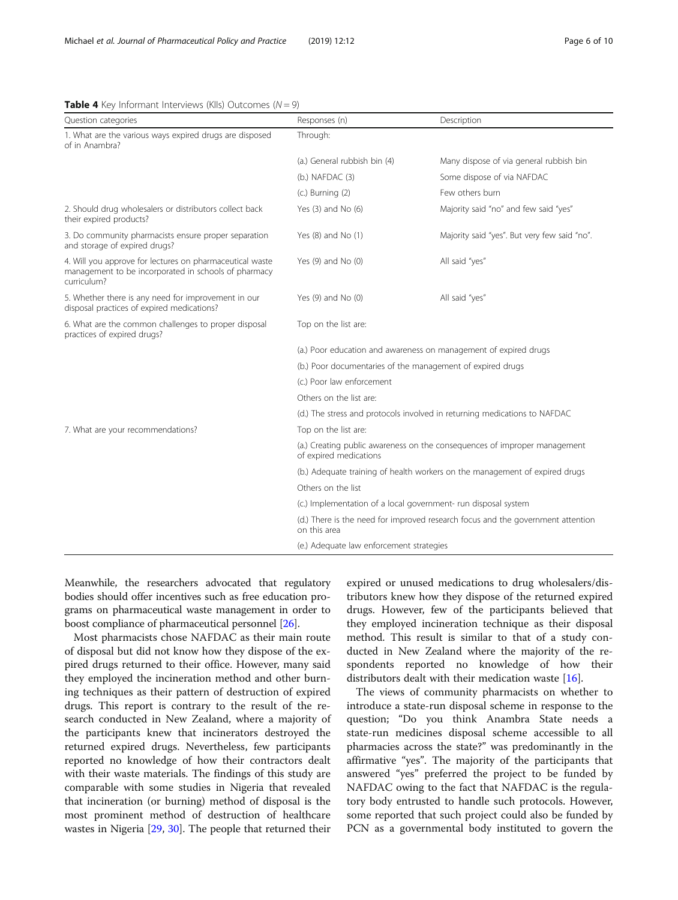#### <span id="page-5-0"></span>**Table 4** Key Informant Interviews (KIIs) Outcomes ( $N = 9$ )

| Question categories                                                                                                             | Responses (n)                                                                                                                  | Description                                  |  |  |
|---------------------------------------------------------------------------------------------------------------------------------|--------------------------------------------------------------------------------------------------------------------------------|----------------------------------------------|--|--|
| 1. What are the various ways expired drugs are disposed<br>of in Anambra?                                                       | Through:                                                                                                                       |                                              |  |  |
|                                                                                                                                 | (a.) General rubbish bin (4)                                                                                                   | Many dispose of via general rubbish bin      |  |  |
|                                                                                                                                 | $(b.)$ NAFDAC $(3)$                                                                                                            | Some dispose of via NAFDAC                   |  |  |
|                                                                                                                                 | $(c.)$ Burning $(2)$                                                                                                           | Few others burn                              |  |  |
| 2. Should drug wholesalers or distributors collect back<br>their expired products?                                              | Yes $(3)$ and No $(6)$                                                                                                         | Majority said "no" and few said "yes"        |  |  |
| 3. Do community pharmacists ensure proper separation<br>and storage of expired drugs?                                           | Yes (8) and No (1)                                                                                                             | Majority said "yes". But very few said "no". |  |  |
| 4. Will you approve for lectures on pharmaceutical waste<br>management to be incorporated in schools of pharmacy<br>curriculum? | Yes $(9)$ and No $(0)$                                                                                                         | All said "yes"                               |  |  |
| 5. Whether there is any need for improvement in our<br>disposal practices of expired medications?                               | Yes $(9)$ and No $(0)$                                                                                                         | All said "yes"                               |  |  |
| 6. What are the common challenges to proper disposal<br>practices of expired drugs?                                             | Top on the list are:                                                                                                           |                                              |  |  |
|                                                                                                                                 | (a.) Poor education and awareness on management of expired drugs<br>(b.) Poor documentaries of the management of expired drugs |                                              |  |  |
|                                                                                                                                 |                                                                                                                                |                                              |  |  |
|                                                                                                                                 | (c.) Poor law enforcement                                                                                                      |                                              |  |  |
|                                                                                                                                 | Others on the list are:                                                                                                        |                                              |  |  |
|                                                                                                                                 | (d.) The stress and protocols involved in returning medications to NAFDAC                                                      |                                              |  |  |
| 7. What are your recommendations?                                                                                               | Top on the list are:                                                                                                           |                                              |  |  |
|                                                                                                                                 | (a.) Creating public awareness on the consequences of improper management<br>of expired medications                            |                                              |  |  |
|                                                                                                                                 | (b.) Adequate training of health workers on the management of expired drugs                                                    |                                              |  |  |
|                                                                                                                                 | Others on the list                                                                                                             |                                              |  |  |
|                                                                                                                                 | (c.) Implementation of a local government- run disposal system                                                                 |                                              |  |  |
|                                                                                                                                 | (d.) There is the need for improved research focus and the government attention<br>on this area                                |                                              |  |  |
|                                                                                                                                 | (e.) Adequate law enforcement strategies                                                                                       |                                              |  |  |

Meanwhile, the researchers advocated that regulatory bodies should offer incentives such as free education programs on pharmaceutical waste management in order to boost compliance of pharmaceutical personnel [[26](#page-8-0)].

Most pharmacists chose NAFDAC as their main route of disposal but did not know how they dispose of the expired drugs returned to their office. However, many said they employed the incineration method and other burning techniques as their pattern of destruction of expired drugs. This report is contrary to the result of the research conducted in New Zealand, where a majority of the participants knew that incinerators destroyed the returned expired drugs. Nevertheless, few participants reported no knowledge of how their contractors dealt with their waste materials. The findings of this study are comparable with some studies in Nigeria that revealed that incineration (or burning) method of disposal is the most prominent method of destruction of healthcare wastes in Nigeria [[29,](#page-8-0) [30](#page-8-0)]. The people that returned their expired or unused medications to drug wholesalers/distributors knew how they dispose of the returned expired drugs. However, few of the participants believed that they employed incineration technique as their disposal method. This result is similar to that of a study conducted in New Zealand where the majority of the respondents reported no knowledge of how their distributors dealt with their medication waste [[16](#page-8-0)].

The views of community pharmacists on whether to introduce a state-run disposal scheme in response to the question; "Do you think Anambra State needs a state-run medicines disposal scheme accessible to all pharmacies across the state?" was predominantly in the affirmative "yes". The majority of the participants that answered "yes" preferred the project to be funded by NAFDAC owing to the fact that NAFDAC is the regulatory body entrusted to handle such protocols. However, some reported that such project could also be funded by PCN as a governmental body instituted to govern the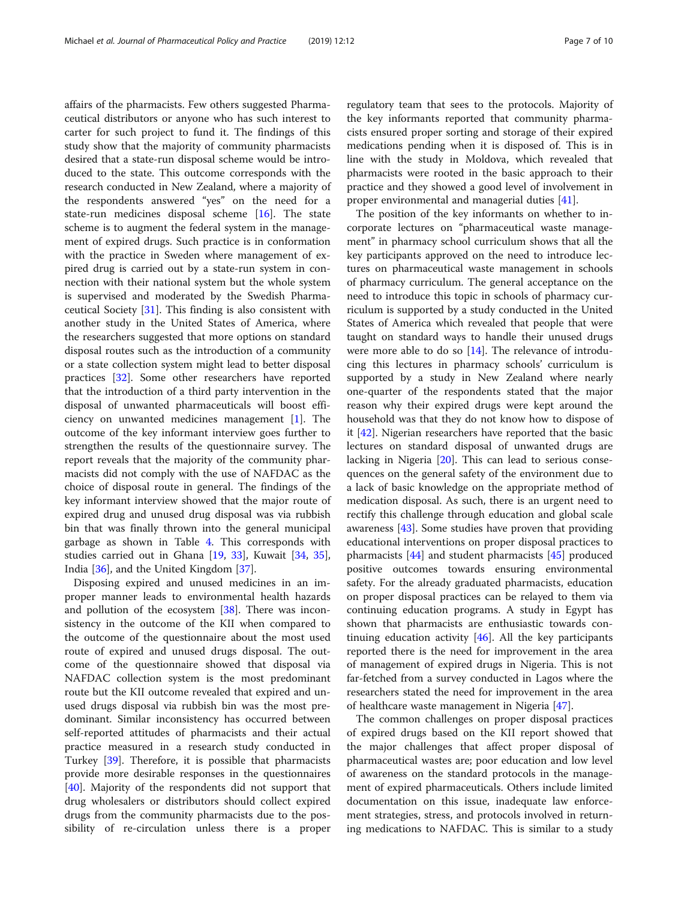affairs of the pharmacists. Few others suggested Pharmaceutical distributors or anyone who has such interest to carter for such project to fund it. The findings of this study show that the majority of community pharmacists desired that a state-run disposal scheme would be introduced to the state. This outcome corresponds with the research conducted in New Zealand, where a majority of the respondents answered "yes" on the need for a state-run medicines disposal scheme [\[16\]](#page-8-0). The state scheme is to augment the federal system in the management of expired drugs. Such practice is in conformation with the practice in Sweden where management of expired drug is carried out by a state-run system in connection with their national system but the whole system is supervised and moderated by the Swedish Pharmaceutical Society [[31\]](#page-8-0). This finding is also consistent with another study in the United States of America, where the researchers suggested that more options on standard disposal routes such as the introduction of a community or a state collection system might lead to better disposal practices [[32\]](#page-8-0). Some other researchers have reported that the introduction of a third party intervention in the disposal of unwanted pharmaceuticals will boost efficiency on unwanted medicines management  $[1]$  $[1]$ . The outcome of the key informant interview goes further to strengthen the results of the questionnaire survey. The report reveals that the majority of the community pharmacists did not comply with the use of NAFDAC as the choice of disposal route in general. The findings of the key informant interview showed that the major route of expired drug and unused drug disposal was via rubbish bin that was finally thrown into the general municipal garbage as shown in Table [4.](#page-5-0) This corresponds with studies carried out in Ghana [[19,](#page-8-0) [33\]](#page-8-0), Kuwait [\[34,](#page-8-0) [35](#page-8-0)], India [[36](#page-8-0)], and the United Kingdom [\[37](#page-8-0)].

Disposing expired and unused medicines in an improper manner leads to environmental health hazards and pollution of the ecosystem [\[38](#page-8-0)]. There was inconsistency in the outcome of the KII when compared to the outcome of the questionnaire about the most used route of expired and unused drugs disposal. The outcome of the questionnaire showed that disposal via NAFDAC collection system is the most predominant route but the KII outcome revealed that expired and unused drugs disposal via rubbish bin was the most predominant. Similar inconsistency has occurred between self-reported attitudes of pharmacists and their actual practice measured in a research study conducted in Turkey [\[39\]](#page-8-0). Therefore, it is possible that pharmacists provide more desirable responses in the questionnaires [[40\]](#page-8-0). Majority of the respondents did not support that drug wholesalers or distributors should collect expired drugs from the community pharmacists due to the possibility of re-circulation unless there is a proper

regulatory team that sees to the protocols. Majority of the key informants reported that community pharmacists ensured proper sorting and storage of their expired medications pending when it is disposed of. This is in line with the study in Moldova, which revealed that pharmacists were rooted in the basic approach to their practice and they showed a good level of involvement in proper environmental and managerial duties [\[41](#page-8-0)].

The position of the key informants on whether to incorporate lectures on "pharmaceutical waste management" in pharmacy school curriculum shows that all the key participants approved on the need to introduce lectures on pharmaceutical waste management in schools of pharmacy curriculum. The general acceptance on the need to introduce this topic in schools of pharmacy curriculum is supported by a study conducted in the United States of America which revealed that people that were taught on standard ways to handle their unused drugs were more able to do so [\[14](#page-8-0)]. The relevance of introducing this lectures in pharmacy schools' curriculum is supported by a study in New Zealand where nearly one-quarter of the respondents stated that the major reason why their expired drugs were kept around the household was that they do not know how to dispose of it [[42\]](#page-8-0). Nigerian researchers have reported that the basic lectures on standard disposal of unwanted drugs are lacking in Nigeria [[20\]](#page-8-0). This can lead to serious consequences on the general safety of the environment due to a lack of basic knowledge on the appropriate method of medication disposal. As such, there is an urgent need to rectify this challenge through education and global scale awareness [\[43\]](#page-8-0). Some studies have proven that providing educational interventions on proper disposal practices to pharmacists [\[44\]](#page-8-0) and student pharmacists [[45\]](#page-8-0) produced positive outcomes towards ensuring environmental safety. For the already graduated pharmacists, education on proper disposal practices can be relayed to them via continuing education programs. A study in Egypt has shown that pharmacists are enthusiastic towards continuing education activity  $[46]$  $[46]$ . All the key participants reported there is the need for improvement in the area of management of expired drugs in Nigeria. This is not far-fetched from a survey conducted in Lagos where the researchers stated the need for improvement in the area of healthcare waste management in Nigeria [[47\]](#page-8-0).

The common challenges on proper disposal practices of expired drugs based on the KII report showed that the major challenges that affect proper disposal of pharmaceutical wastes are; poor education and low level of awareness on the standard protocols in the management of expired pharmaceuticals. Others include limited documentation on this issue, inadequate law enforcement strategies, stress, and protocols involved in returning medications to NAFDAC. This is similar to a study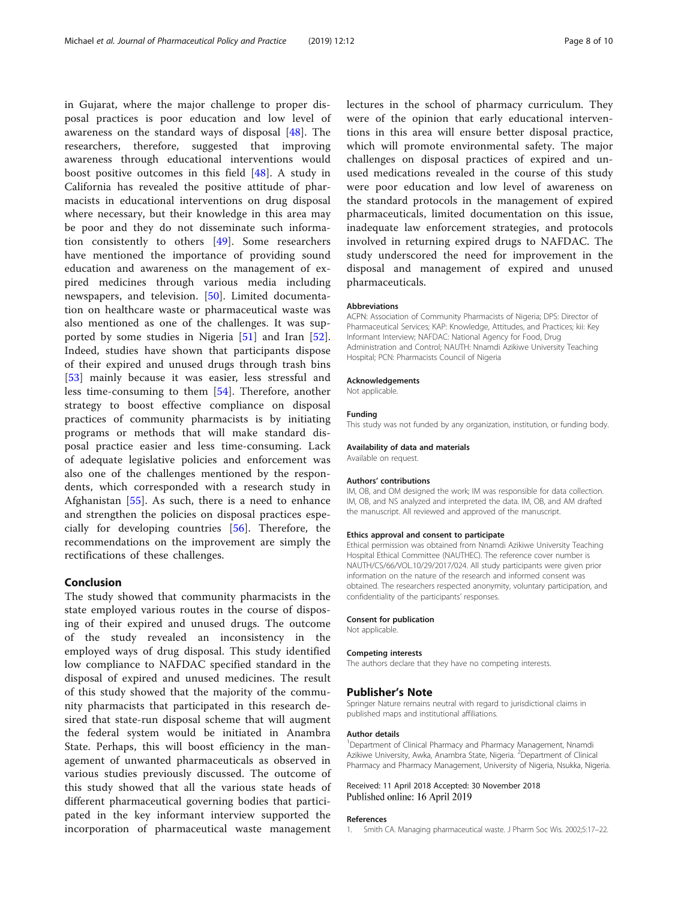<span id="page-7-0"></span>in Gujarat, where the major challenge to proper disposal practices is poor education and low level of awareness on the standard ways of disposal [\[48](#page-8-0)]. The researchers, therefore, suggested that improving awareness through educational interventions would boost positive outcomes in this field [[48\]](#page-8-0). A study in California has revealed the positive attitude of pharmacists in educational interventions on drug disposal where necessary, but their knowledge in this area may be poor and they do not disseminate such information consistently to others [\[49](#page-8-0)]. Some researchers have mentioned the importance of providing sound education and awareness on the management of expired medicines through various media including newspapers, and television. [[50\]](#page-8-0). Limited documentation on healthcare waste or pharmaceutical waste was also mentioned as one of the challenges. It was supported by some studies in Nigeria [[51\]](#page-8-0) and Iran [\[52](#page-9-0)]. Indeed, studies have shown that participants dispose of their expired and unused drugs through trash bins [[53\]](#page-9-0) mainly because it was easier, less stressful and less time-consuming to them [[54\]](#page-9-0). Therefore, another strategy to boost effective compliance on disposal practices of community pharmacists is by initiating programs or methods that will make standard disposal practice easier and less time-consuming. Lack of adequate legislative policies and enforcement was also one of the challenges mentioned by the respondents, which corresponded with a research study in Afghanistan [[55](#page-9-0)]. As such, there is a need to enhance and strengthen the policies on disposal practices especially for developing countries [[56\]](#page-9-0). Therefore, the recommendations on the improvement are simply the rectifications of these challenges.

#### Conclusion

The study showed that community pharmacists in the state employed various routes in the course of disposing of their expired and unused drugs. The outcome of the study revealed an inconsistency in the employed ways of drug disposal. This study identified low compliance to NAFDAC specified standard in the disposal of expired and unused medicines. The result of this study showed that the majority of the community pharmacists that participated in this research desired that state-run disposal scheme that will augment the federal system would be initiated in Anambra State. Perhaps, this will boost efficiency in the management of unwanted pharmaceuticals as observed in various studies previously discussed. The outcome of this study showed that all the various state heads of different pharmaceutical governing bodies that participated in the key informant interview supported the incorporation of pharmaceutical waste management

lectures in the school of pharmacy curriculum. They were of the opinion that early educational interventions in this area will ensure better disposal practice, which will promote environmental safety. The major challenges on disposal practices of expired and unused medications revealed in the course of this study were poor education and low level of awareness on the standard protocols in the management of expired pharmaceuticals, limited documentation on this issue, inadequate law enforcement strategies, and protocols involved in returning expired drugs to NAFDAC. The study underscored the need for improvement in the disposal and management of expired and unused pharmaceuticals.

#### Abbreviations

ACPN: Association of Community Pharmacists of Nigeria; DPS: Director of Pharmaceutical Services; KAP: Knowledge, Attitudes, and Practices; kii: Key Informant Interview; NAFDAC: National Agency for Food, Drug Administration and Control; NAUTH: Nnamdi Azikiwe University Teaching Hospital; PCN: Pharmacists Council of Nigeria

#### Acknowledgements

Not applicable.

#### Funding

This study was not funded by any organization, institution, or funding body.

#### Availability of data and materials

Available on request.

#### Authors' contributions

IM, OB, and OM designed the work; IM was responsible for data collection. IM, OB, and NS analyzed and interpreted the data. IM, OB, and AM drafted the manuscript. All reviewed and approved of the manuscript.

#### Ethics approval and consent to participate

Ethical permission was obtained from Nnamdi Azikiwe University Teaching Hospital Ethical Committee (NAUTHEC). The reference cover number is NAUTH/CS/66/VOL.10/29/2017/024. All study participants were given prior information on the nature of the research and informed consent was obtained. The researchers respected anonymity, voluntary participation, and confidentiality of the participants' responses.

#### Consent for publication

Not applicable.

#### Competing interests

The authors declare that they have no competing interests.

#### Publisher's Note

Springer Nature remains neutral with regard to jurisdictional claims in published maps and institutional affiliations.

#### Author details

<sup>1</sup>Department of Clinical Pharmacy and Pharmacy Management, Nnamdi Azikiwe University, Awka, Anambra State, Nigeria. <sup>2</sup>Department of Clinical Pharmacy and Pharmacy Management, University of Nigeria, Nsukka, Nigeria.

#### Received: 11 April 2018 Accepted: 30 November 2018 Published online: 16 April 2019

#### References

1. Smith CA. Managing pharmaceutical waste. J Pharm Soc Wis. 2002;5:17–22.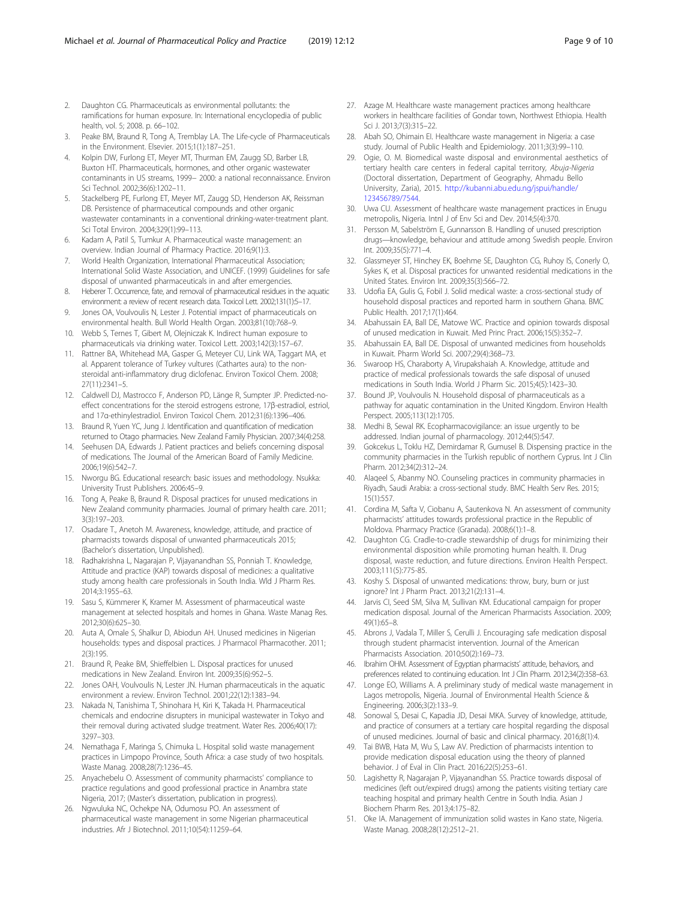- <span id="page-8-0"></span>2. Daughton CG. Pharmaceuticals as environmental pollutants: the ramifications for human exposure. In: International encyclopedia of public health, vol. 5; 2008. p. 66–102.
- 3. Peake BM, Braund R, Tong A, Tremblay LA. The Life-cycle of Pharmaceuticals in the Environment. Elsevier. 2015;1(1):187–251.
- 4. Kolpin DW, Furlong ET, Meyer MT, Thurman EM, Zaugg SD, Barber LB, Buxton HT. Pharmaceuticals, hormones, and other organic wastewater contaminants in US streams, 1999− 2000: a national reconnaissance. Environ Sci Technol. 2002;36(6):1202–11.
- 5. Stackelberg PE, Furlong ET, Meyer MT, Zaugg SD, Henderson AK, Reissman DB. Persistence of pharmaceutical compounds and other organic wastewater contaminants in a conventional drinking-water-treatment plant. Sci Total Environ. 2004;329(1):99–113.
- 6. Kadam A, Patil S, Tumkur A. Pharmaceutical waste management: an overview. Indian Journal of Pharmacy Practice. 2016;9(1):3.
- 7. World Health Organization, International Pharmaceutical Association; International Solid Waste Association, and UNICEF. (1999) Guidelines for safe disposal of unwanted pharmaceuticals in and after emergencies.
- 8. Heberer T. Occurrence, fate, and removal of pharmaceutical residues in the aquatic environment: a review of recent research data. Toxicol Lett. 2002;131(1):5–17.
- 9. Jones OA, Voulvoulis N, Lester J. Potential impact of pharmaceuticals on environmental health. Bull World Health Organ. 2003;81(10):768–9.
- 10. Webb S, Ternes T, Gibert M, Olejniczak K. Indirect human exposure to pharmaceuticals via drinking water. Toxicol Lett. 2003;142(3):157–67.
- 11. Rattner BA, Whitehead MA, Gasper G, Meteyer CU, Link WA, Taggart MA, et al. Apparent tolerance of Turkey vultures (Cathartes aura) to the nonsteroidal anti-inflammatory drug diclofenac. Environ Toxicol Chem. 2008; 27(11):2341–5.
- 12. Caldwell DJ, Mastrocco F, Anderson PD, Länge R, Sumpter JP. Predicted-noeffect concentrations for the steroid estrogens estrone, 17β-estradiol, estriol, and 17α-ethinylestradiol. Environ Toxicol Chem. 2012;31(6):1396–406.
- 13. Braund R, Yuen YC, Jung J. Identification and quantification of medication returned to Otago pharmacies. New Zealand Family Physician. 2007;34(4):258.
- 14. Seehusen DA, Edwards J. Patient practices and beliefs concerning disposal of medications. The Journal of the American Board of Family Medicine. 2006;19(6):542–7.
- 15. Nworgu BG. Educational research: basic issues and methodology. Nsukka: University Trust Publishers. 2006:45–9.
- 16. Tong A, Peake B, Braund R. Disposal practices for unused medications in New Zealand community pharmacies. Journal of primary health care. 2011; 3(3):197–203.
- 17. Osadare T., Anetoh M. Awareness, knowledge, attitude, and practice of pharmacists towards disposal of unwanted pharmaceuticals 2015; (Bachelor's dissertation, Unpublished).
- 18. Radhakrishna L, Nagarajan P, Vijayanandhan SS, Ponniah T. Knowledge, Attitude and practice (KAP) towards disposal of medicines: a qualitative study among health care professionals in South India. Wld J Pharm Res. 2014;3:1955–63.
- 19. Sasu S, Kümmerer K, Kramer M. Assessment of pharmaceutical waste management at selected hospitals and homes in Ghana. Waste Manag Res. 2012;30(6):625–30.
- 20. Auta A, Omale S, Shalkur D, Abiodun AH. Unused medicines in Nigerian households: types and disposal practices. J Pharmacol Pharmacother. 2011; 2(3):195.
- 21. Braund R, Peake BM, Shieffelbien L. Disposal practices for unused medications in New Zealand. Environ Int. 2009;35(6):952–5.
- 22. Jones OAH, Voulvoulis N, Lester JN. Human pharmaceuticals in the aquatic environment a review. Environ Technol. 2001;22(12):1383–94.
- 23. Nakada N, Tanishima T, Shinohara H, Kiri K, Takada H. Pharmaceutical chemicals and endocrine disrupters in municipal wastewater in Tokyo and their removal during activated sludge treatment. Water Res. 2006;40(17): 3297–303.
- 24. Nemathaga F, Maringa S, Chimuka L. Hospital solid waste management practices in Limpopo Province, South Africa: a case study of two hospitals. Waste Manag. 2008;28(7):1236–45.
- 25. Anyachebelu O. Assessment of community pharmacists' compliance to practice regulations and good professional practice in Anambra state Nigeria, 2017; (Master's dissertation, publication in progress).
- 26. Ngwuluka NC, Ochekpe NA, Odumosu PO. An assessment of pharmaceutical waste management in some Nigerian pharmaceutical industries. Afr J Biotechnol. 2011;10(54):11259–64.
- 27. Azage M. Healthcare waste management practices among healthcare workers in healthcare facilities of Gondar town, Northwest Ethiopia. Health Sci J. 2013;7(3):315–22.
- 28. Abah SO, Ohimain EI. Healthcare waste management in Nigeria: a case study. Journal of Public Health and Epidemiology. 2011;3(3):99–110.
- 29. Ogie, O. M. Biomedical waste disposal and environmental aesthetics of tertiary health care centers in federal capital territory, Abuja-Nigeria (Doctoral dissertation, Department of Geography, Ahmadu Bello University, Zaria), 2015. [http://kubanni.abu.edu.ng/jspui/handle/](http://kubanni.abu.edu.ng/jspui/handle/123456789/7544) [123456789/7544.](http://kubanni.abu.edu.ng/jspui/handle/123456789/7544)
- 30. Uwa CU. Assessment of healthcare waste management practices in Enugu metropolis, Nigeria. Intnl J of Env Sci and Dev. 2014;5(4):370.
- 31. Persson M, Sabelström E, Gunnarsson B. Handling of unused prescription drugs—knowledge, behaviour and attitude among Swedish people. Environ Int. 2009;35(5):771–4.
- 32. Glassmeyer ST, Hinchey EK, Boehme SE, Daughton CG, Ruhoy IS, Conerly O, Sykes K, et al. Disposal practices for unwanted residential medications in the United States. Environ Int. 2009;35(3):566–72.
- 33. Udofia EA, Gulis G, Fobil J. Solid medical waste: a cross-sectional study of household disposal practices and reported harm in southern Ghana. BMC Public Health. 2017;17(1):464.
- 34. Abahussain EA, Ball DE, Matowe WC. Practice and opinion towards disposal of unused medication in Kuwait. Med Princ Pract. 2006;15(5):352–7.
- 35. Abahussain EA, Ball DE. Disposal of unwanted medicines from households in Kuwait. Pharm World Sci. 2007;29(4):368–73.
- 36. Swaroop HS, Charaborty A, Virupakshaiah A. Knowledge, attitude and practice of medical professionals towards the safe disposal of unused medications in South India. World J Pharm Sic. 2015;4(5):1423–30.
- 37. Bound JP, Voulvoulis N. Household disposal of pharmaceuticals as a pathway for aquatic contamination in the United Kingdom. Environ Health Perspect. 2005;113(12):1705.
- 38. Medhi B, Sewal RK. Ecopharmacovigilance: an issue urgently to be addressed. Indian journal of pharmacology. 2012;44(5):547.
- 39. Gokcekus L, Toklu HZ, Demirdamar R, Gumusel B. Dispensing practice in the community pharmacies in the Turkish republic of northern Cyprus. Int J Clin Pharm. 2012;34(2):312–24.
- 40. Alaqeel S, Abanmy NO. Counseling practices in community pharmacies in Riyadh, Saudi Arabia: a cross-sectional study. BMC Health Serv Res. 2015; 15(1):557.
- 41. Cordina M, Safta V, Ciobanu A, Sautenkova N. An assessment of community pharmacists' attitudes towards professional practice in the Republic of Moldova. Pharmacy Practice (Granada). 2008;6(1):1–8.
- 42. Daughton CG. Cradle-to-cradle stewardship of drugs for minimizing their environmental disposition while promoting human health. II. Drug disposal, waste reduction, and future directions. Environ Health Perspect. 2003;111(5):775-85.
- 43. Koshy S. Disposal of unwanted medications: throw, bury, burn or just ignore? Int J Pharm Pract. 2013;21(2):131–4.
- 44. Jarvis CI, Seed SM, Silva M, Sullivan KM. Educational campaign for proper medication disposal. Journal of the American Pharmacists Association. 2009; 49(1):65–8.
- 45. Abrons J, Vadala T, Miller S, Cerulli J. Encouraging safe medication disposal through student pharmacist intervention. Journal of the American Pharmacists Association. 2010;50(2):169–73.
- 46. Ibrahim OHM. Assessment of Egyptian pharmacists' attitude, behaviors, and preferences related to continuing education. Int J Clin Pharm. 2012;34(2):358–63.
- 47. Longe EO, Williams A. A preliminary study of medical waste management in Lagos metropolis, Nigeria. Journal of Environmental Health Science & Engineering. 2006;3(2):133–9.
- 48. Sonowal S, Desai C, Kapadia JD, Desai MKA. Survey of knowledge, attitude, and practice of consumers at a tertiary care hospital regarding the disposal of unused medicines. Journal of basic and clinical pharmacy. 2016;8(1):4.
- 49. Tai BWB, Hata M, Wu S, Law AV. Prediction of pharmacists intention to provide medication disposal education using the theory of planned behavior. J of Eval in Clin Pract. 2016;22(5):253–61.
- 50. Lagishetty R, Nagarajan P, Vijayanandhan SS. Practice towards disposal of medicines (left out/expired drugs) among the patients visiting tertiary care teaching hospital and primary health Centre in South India. Asian J Biochem Pharm Res. 2013;4:175–82.
- 51. Oke IA. Management of immunization solid wastes in Kano state, Nigeria. Waste Manag. 2008;28(12):2512–21.